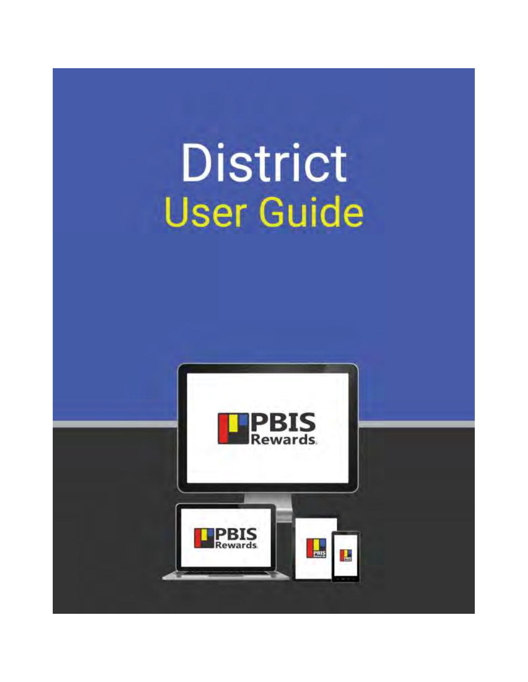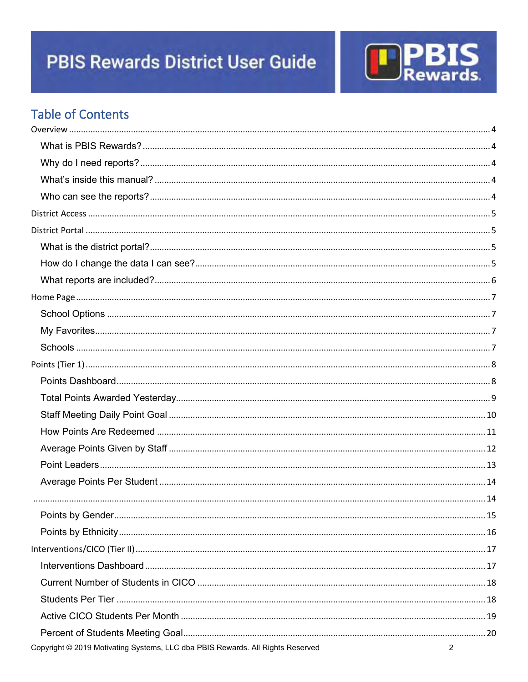

### **Table of Contents**

| Copyright © 2019 Motivating Systems, LLC dba PBIS Rewards. All Rights Reserved | $\overline{2}$ |
|--------------------------------------------------------------------------------|----------------|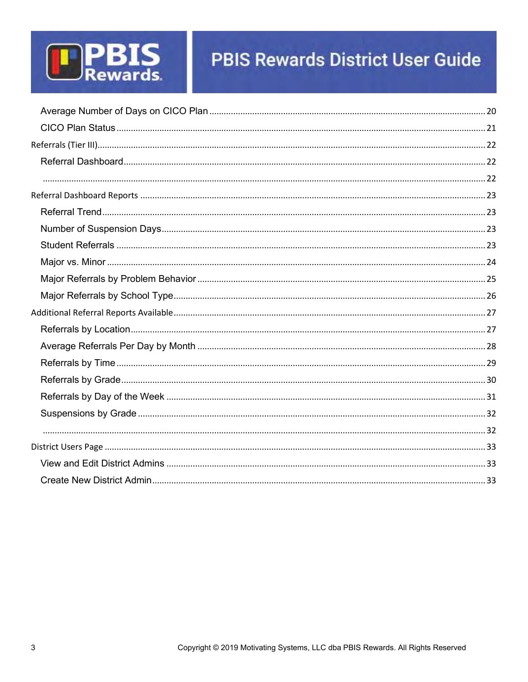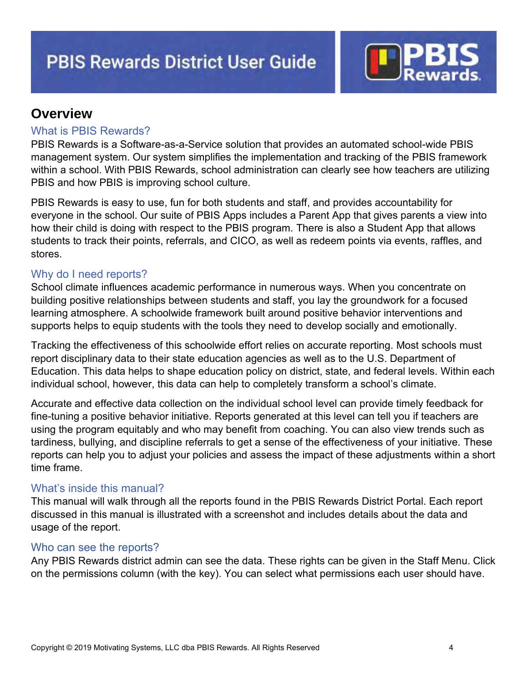

### <span id="page-3-0"></span>**Overview**

#### <span id="page-3-1"></span>What is PBIS Rewards?

PBIS Rewards is a Software-as-a-Service solution that provides an automated school-wide PBIS management system. Our system simplifies the implementation and tracking of the PBIS framework within a school. With PBIS Rewards, school administration can clearly see how teachers are utilizing PBIS and how PBIS is improving school culture.

PBIS Rewards is easy to use, fun for both students and staff, and provides accountability for everyone in the school. Our suite of PBIS Apps includes a Parent App that gives parents a view into how their child is doing with respect to the PBIS program. There is also a Student App that allows students to track their points, referrals, and CICO, as well as redeem points via events, raffles, and stores.

#### <span id="page-3-2"></span>Why do I need reports?

School climate influences academic performance in numerous ways. When you concentrate on building positive relationships between students and staff, you lay the groundwork for a focused learning atmosphere. A schoolwide framework built around positive behavior interventions and supports helps to equip students with the tools they need to develop socially and emotionally.

Tracking the effectiveness of this schoolwide effort relies on accurate reporting. Most schools must report disciplinary data to their state education agencies as well as to the U.S. Department of Education. This data helps to shape education policy on district, state, and federal levels. Within each individual school, however, this data can help to completely transform a school's climate.

Accurate and effective data collection on the individual school level can provide timely feedback for fine-tuning a positive behavior initiative. Reports generated at this level can tell you if teachers are using the program equitably and who may benefit from coaching. You can also view trends such as tardiness, bullying, and discipline referrals to get a sense of the effectiveness of your initiative. These reports can help you to adjust your policies and assess the impact of these adjustments within a short time frame.

#### <span id="page-3-3"></span>What's inside this manual?

This manual will walk through all the reports found in the PBIS Rewards District Portal. Each report discussed in this manual is illustrated with a screenshot and includes details about the data and usage of the report.

#### <span id="page-3-4"></span>Who can see the reports?

Any PBIS Rewards district admin can see the data. These rights can be given in the Staff Menu. Click on the permissions column (with the key). You can select what permissions each user should have.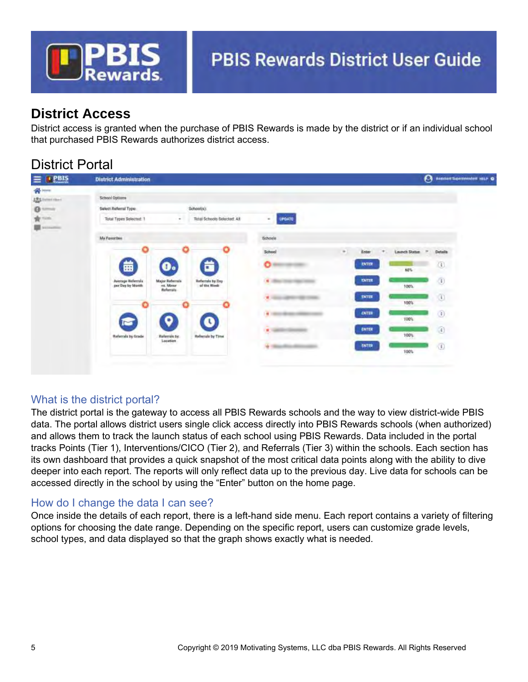

### <span id="page-4-0"></span>**District Access**

District access is granted when the purchase of PBIS Rewards is made by the district or if an individual school that purchased PBIS Rewards authorizes district access.

### <span id="page-4-1"></span>District Portal



### <span id="page-4-2"></span>What is the district portal?

The district portal is the gateway to access all PBIS Rewards schools and the way to view district-wide PBIS data. The portal allows district users single click access directly into PBIS Rewards schools (when authorized) and allows them to track the launch status of each school using PBIS Rewards. Data included in the portal tracks Points (Tier 1), Interventions/CICO (Tier 2), and Referrals (Tier 3) within the schools. Each section has its own dashboard that provides a quick snapshot of the most critical data points along with the ability to dive deeper into each report. The reports will only reflect data up to the previous day. Live data for schools can be accessed directly in the school by using the "Enter" button on the home page.

### <span id="page-4-3"></span>How do I change the data I can see?

Once inside the details of each report, there is a left-hand side menu. Each report contains a variety of filtering options for choosing the date range. Depending on the specific report, users can customize grade levels, school types, and data displayed so that the graph shows exactly what is needed.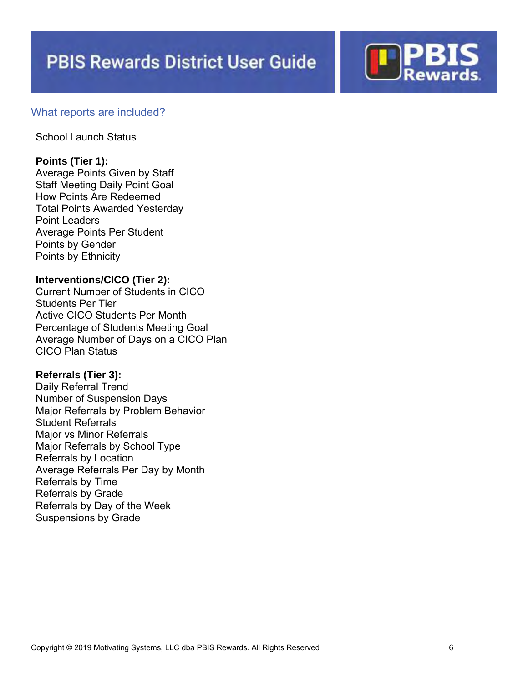

#### <span id="page-5-0"></span>What reports are included?

School Launch Status

#### **Points (Tier 1):**

Average Points Given by Staff Staff Meeting Daily Point Goal How Points Are Redeemed Total Points Awarded Yesterday Point Leaders Average Points Per Student Points by Gender Points by Ethnicity

#### **Interventions/CICO (Tier 2):**

Current Number of Students in CICO Students Per Tier Active CICO Students Per Month Percentage of Students Meeting Goal Average Number of Days on a CICO Plan CICO Plan Status

#### **Referrals (Tier 3):**

Daily Referral Trend Number of Suspension Days Major Referrals by Problem Behavior Student Referrals Major vs Minor Referrals Major Referrals by School Type Referrals by Location Average Referrals Per Day by Month Referrals by Time Referrals by Grade Referrals by Day of the Week Suspensions by Grade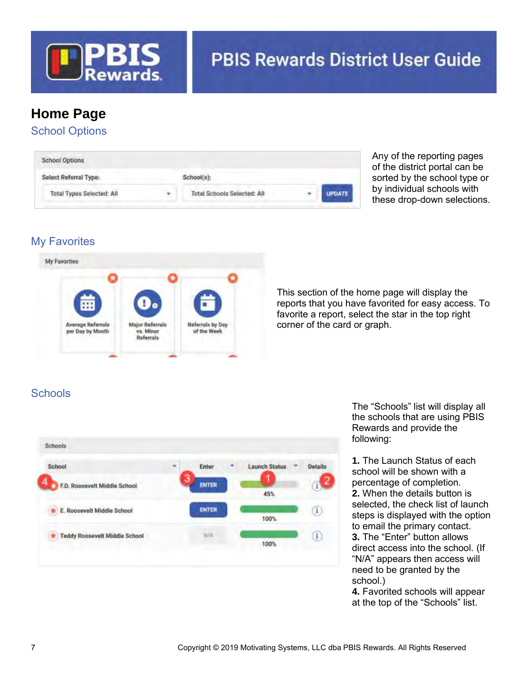

### <span id="page-6-0"></span>**Home Page**

#### <span id="page-6-1"></span>**School Options**

| <b>School Options</b>            |   |                             |   |               |
|----------------------------------|---|-----------------------------|---|---------------|
| Select Referral Type:            |   | School(s):                  |   |               |
| <b>Total Types Selected: All</b> | ٠ | Total Schools Selected: All | ٠ | <b>UPDATE</b> |

Any of the reporting pages of the district portal can be sorted by the school type or by individual schools with these drop-down selections.

### <span id="page-6-2"></span>My Favorites



This section of the home page will display the reports that you have favorited for easy access. To favorite a report, select the star in the top right corner of the card or graph.

### <span id="page-6-3"></span>**Schools**



The "Schools" list will display all the schools that are using PBIS Rewards and provide the following:

**1.** The Launch Status of each school will be shown with a percentage of completion. **2.** When the details button is selected, the check list of launch steps is displayed with the option to email the primary contact. **3.** The "Enter" button allows direct access into the school. (If "N/A" appears then access will need to be granted by the

school.) **4.** Favorited schools will appear at the top of the "Schools" list.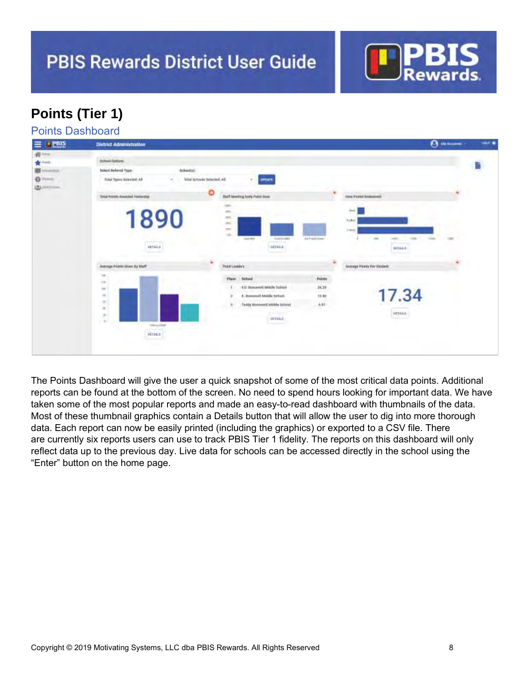

### <span id="page-7-0"></span>**Points (Tier 1)**

<span id="page-7-1"></span>

The Points Dashboard will give the user a quick snapshot of some of the most critical data points. Additional reports can be found at the bottom of the screen. No need to spend hours looking for important data. We have taken some of the most popular reports and made an easy-to-read dashboard with thumbnails of the data. Most of these thumbnail graphics contain a Details button that will allow the user to dig into more thorough data. Each report can now be easily printed (including the graphics) or exported to a CSV file. There are currently six reports users can use to track PBIS Tier 1 fidelity. The reports on this dashboard will only reflect data up to the previous day. Live data for schools can be accessed directly in the school using the "Enter" button on the home page.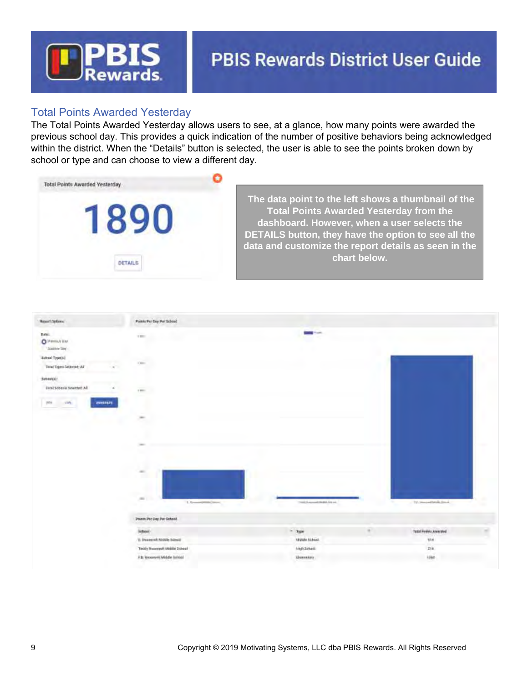

#### <span id="page-8-0"></span>Total Points Awarded Yesterday

The Total Points Awarded Yesterday allows users to see, at a glance, how many points were awarded the previous school day. This provides a quick indication of the number of positive behaviors being acknowledged within the district. When the "Details" button is selected, the user is able to see the points broken down by school or type and can choose to view a different day.



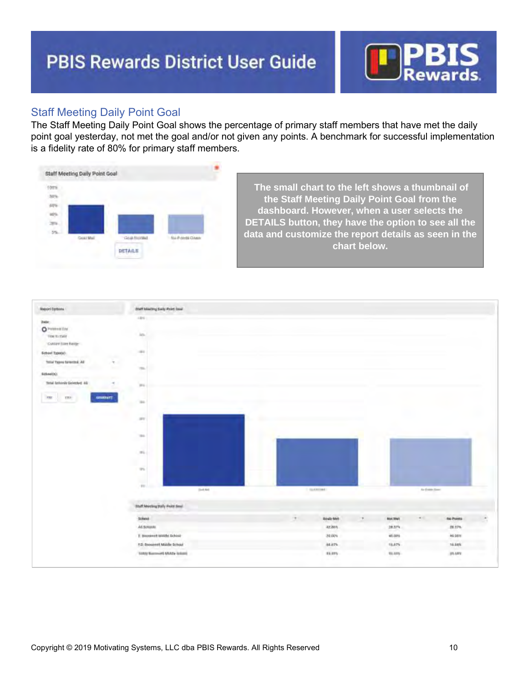

#### <span id="page-9-0"></span>Staff Meeting Daily Point Goal

The Staff Meeting Daily Point Goal shows the percentage of primary staff members that have met the daily point goal yesterday, not met the goal and/or not given any points. A benchmark for successful implementation is a fidelity rate of 80% for primary staff members.



**The small chart to the left shows a thumbnail of the Staff Meeting Daily Point Goal from the dashboard. However, when a user selects the DETAILS button, they have the option to see all the data and customize the report details as seen in the chart below.**

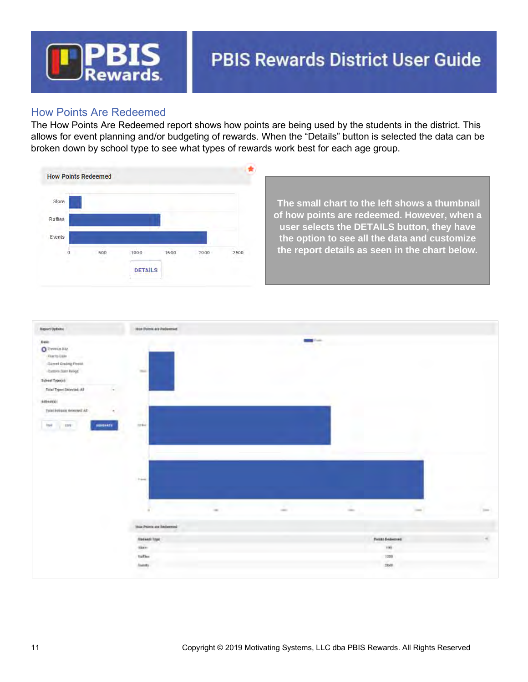

### <span id="page-10-0"></span>How Points Are Redeemed

The How Points Are Redeemed report shows how points are being used by the students in the district. This allows for event planning and/or budgeting of rewards. When the "Details" button is selected the data can be broken down by school type to see what types of rewards work best for each age group.



**The small chart to the left shows a thumbnail of how points are redeemed. However, when a user selects the DETAILS button, they have the option to see all the data and customize the report details as seen in the chart below.**

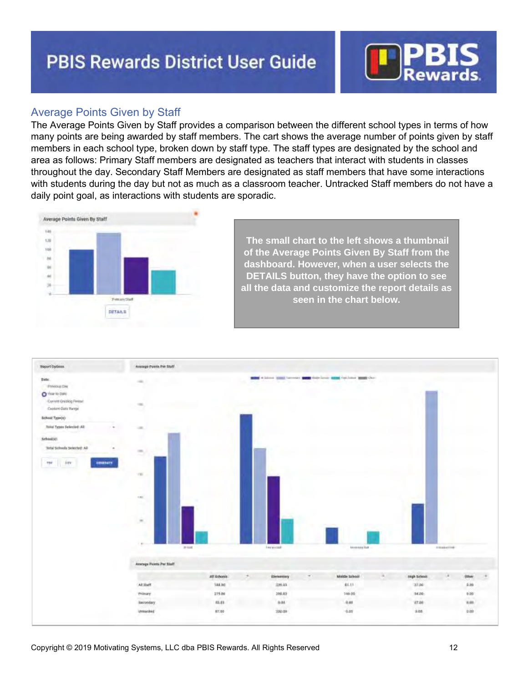

#### <span id="page-11-0"></span>Average Points Given by Staff

The Average Points Given by Staff provides a comparison between the different school types in terms of how many points are being awarded by staff members. The cart shows the average number of points given by staff members in each school type, broken down by staff type. The staff types are designated by the school and area as follows: Primary Staff members are designated as teachers that interact with students in classes throughout the day. Secondary Staff Members are designated as staff members that have some interactions with students during the day but not as much as a classroom teacher. Untracked Staff members do not have a daily point goal, as interactions with students are sporadic.



**The small chart to the left shows a thumbnail of the Average Points Given By Staff from the dashboard. However, when a user selects the DETAILS button, they have the option to see all the data and customize the report details as seen in the chart below.**

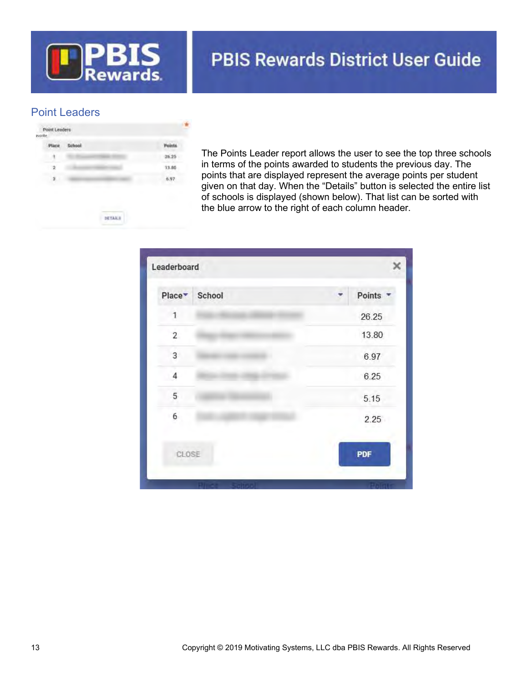

### <span id="page-12-0"></span>Point Leaders

| Place            | School | Points |
|------------------|--------|--------|
| ۱                |        | 26.25  |
| $\mathbf 2$      |        | 13.80  |
| $\boldsymbol{x}$ |        | 6.97   |
|                  |        |        |
|                  |        |        |

The Points Leader report allows the user to see the top three schools in terms of the points awarded to students the previous day. The points that are displayed represent the average points per student given on that day. When the "Details" button is selected the entire list of schools is displayed (shown below). That list can be sorted with the blue arrow to the right of each column header.

| Place*         | School | Points * |
|----------------|--------|----------|
| 1              |        | 26.25    |
| $\overline{2}$ |        | 13.80    |
| 3              |        | 6.97     |
| 4              |        | 6.25     |
| 5              |        | 5.15     |
| 6              |        | 2.25     |
| CLOSE          |        | PDF      |

13 Copyright © 2019 Motivating Systems, LLC dba PBIS Rewards. All Rights Reserved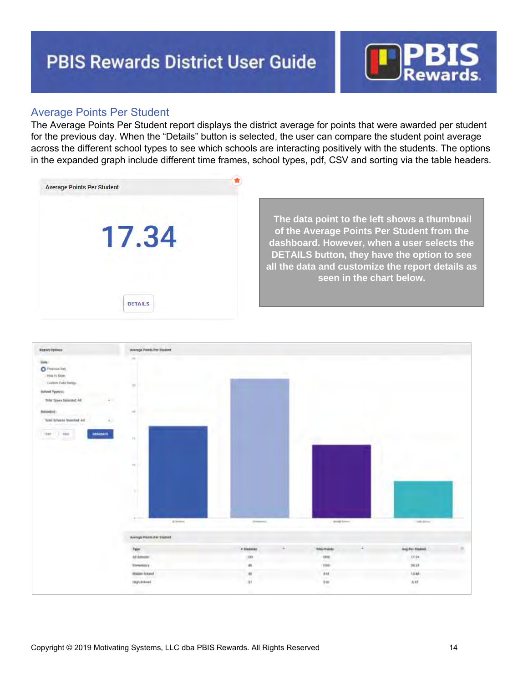<span id="page-13-1"></span>

#### <span id="page-13-0"></span>Average Points Per Student

The Average Points Per Student report displays the district average for points that were awarded per student for the previous day. When the "Details" button is selected, the user can compare the student point average across the different school types to see which schools are interacting positively with the students. The options in the expanded graph include different time frames, school types, pdf, CSV and sorting via the table headers.



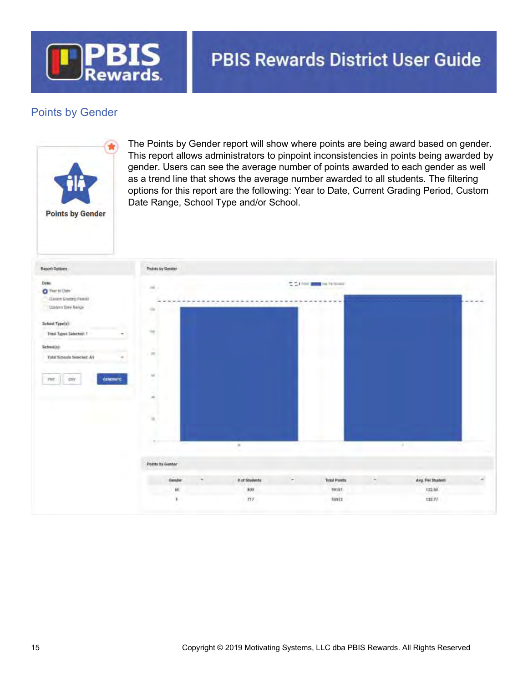

### <span id="page-14-0"></span>Points by Gender



The Points by Gender report will show where points are being award based on gender. This report allows administrators to pinpoint inconsistencies in points being awarded by gender. Users can see the average number of points awarded to each gender as well as a trend line that shows the average number awarded to all students. The filtering options for this report are the following: Year to Date, Current Grading Period, Custom Date Range, School Type and/or School.

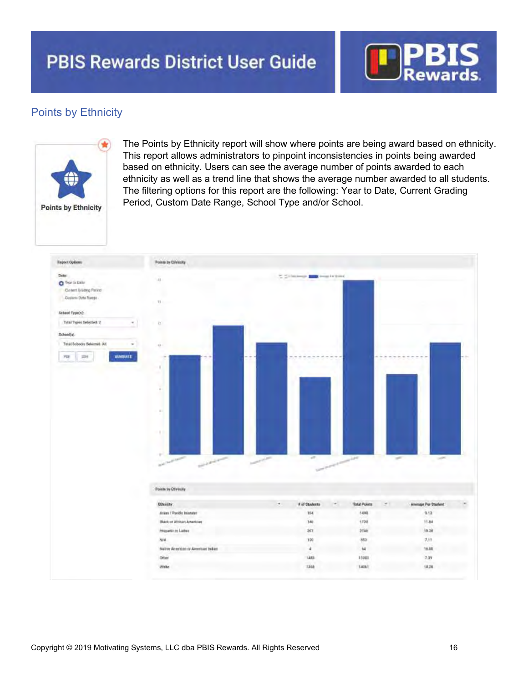

### <span id="page-15-0"></span>Points by Ethnicity



The Points by Ethnicity report will show where points are being award based on ethnicity. This report allows administrators to pinpoint inconsistencies in points being awarded based on ethnicity. Users can see the average number of points awarded to each ethnicity as well as a trend line that shows the average number awarded to all students. The filtering options for this report are the following: Year to Date, Current Grading Period, Custom Date Range, School Type and/or School.

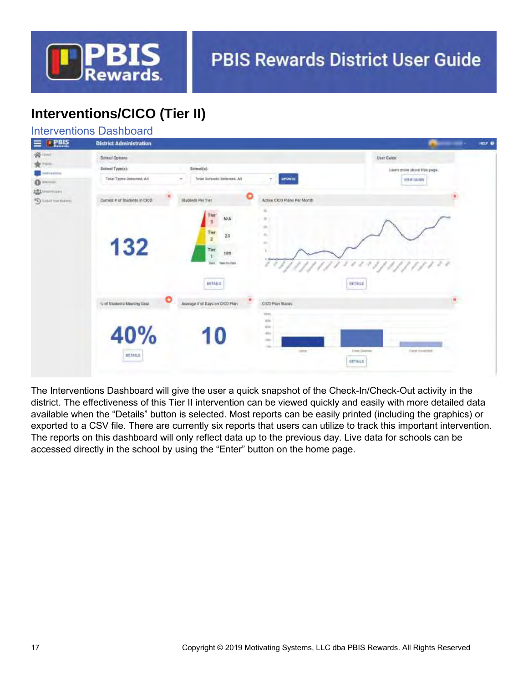

### <span id="page-16-0"></span>**Interventions/CICO (Tier II)**

<span id="page-16-1"></span>



The Interventions Dashboard will give the user a quick snapshot of the Check-In/Check-Out activity in the district. The effectiveness of this Tier II intervention can be viewed quickly and easily with more detailed data available when the "Details" button is selected. Most reports can be easily printed (including the graphics) or exported to a CSV file. There are currently six reports that users can utilize to track this important intervention. The reports on this dashboard will only reflect data up to the previous day. Live data for schools can be accessed directly in the school by using the "Enter" button on the home page.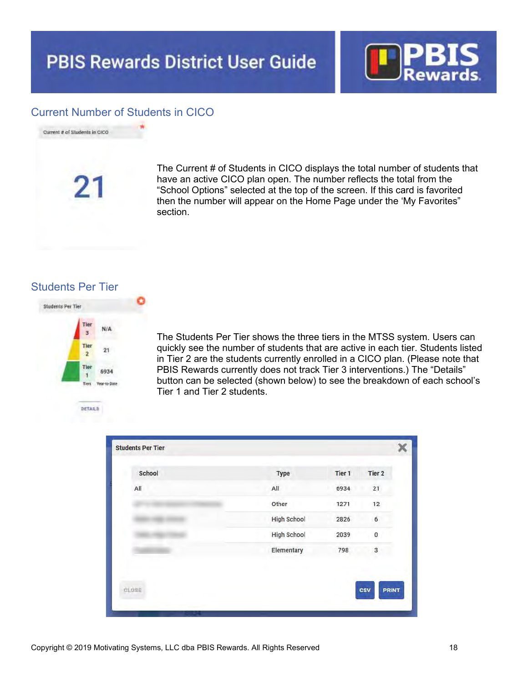

#### <span id="page-17-0"></span>Current Number of Students in CICO



The Current # of Students in CICO displays the total number of students that have an active CICO plan open. The number reflects the total from the "School Options" selected at the top of the screen. If this card is favorited then the number will appear on the Home Page under the 'My Favorites" section.

#### <span id="page-17-1"></span>Students Per Tier



The Students Per Tier shows the three tiers in the MTSS system. Users can quickly see the number of students that are active in each tier. Students listed in Tier 2 are the students currently enrolled in a CICO plan. (Please note that PBIS Rewards currently does not track Tier 3 interventions.) The "Details" button can be selected (shown below) to see the breakdown of each school's Tier 1 and Tier 2 students.

| School | Type               | Tier 1 | Tier 2 |
|--------|--------------------|--------|--------|
| All    | All                | 6934   | 21     |
|        | Other              | 1271   | 12     |
|        | <b>High School</b> | 2826   | 6      |
|        | <b>High School</b> | 2039   | 0      |
|        | Elementary         | 798    | 3      |
|        |                    |        |        |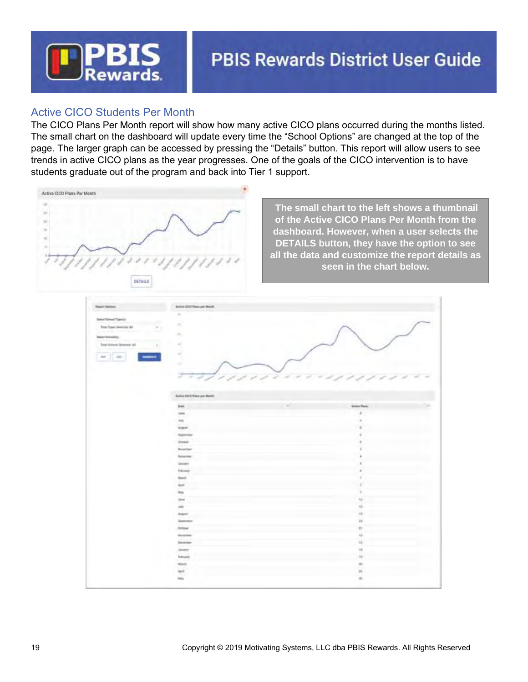

### <span id="page-18-0"></span>Active CICO Students Per Month

The CICO Plans Per Month report will show how many active CICO plans occurred during the months listed. The small chart on the dashboard will update every time the "School Options" are changed at the top of the page. The larger graph can be accessed by pressing the "Details" button. This report will allow users to see trends in active CICO plans as the year progresses. One of the goals of the CICO intervention is to have students graduate out of the program and back into Tier 1 support.



**The small chart to the left shows a thumbnail of the Active CICO Plans Per Month from the dashboard. However, when a user selects the DETAILS button, they have the option to see all the data and customize the report details as seen in the chart below.**

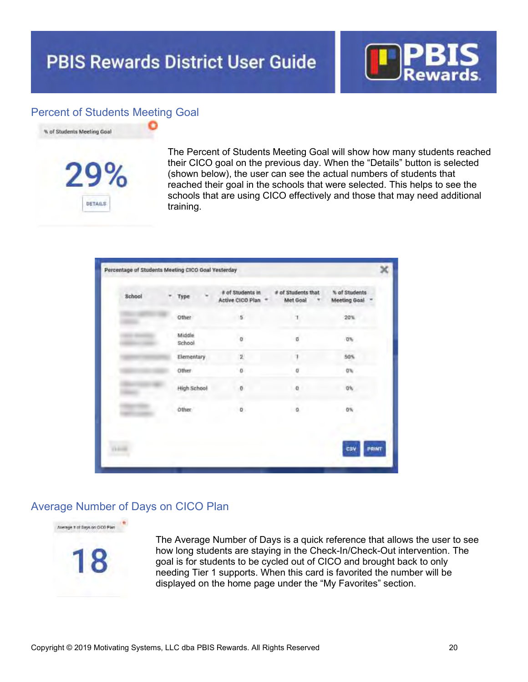

#### <span id="page-19-0"></span>Percent of Students Meeting Goal

n



The Percent of Students Meeting Goal will show how many students reached their CICO goal on the previous day. When the "Details" button is selected (shown below), the user can see the actual numbers of students that reached their goal in the schools that were selected. This helps to see the schools that are using CICO effectively and those that may need additional training.

| School | Type             | # of Students in<br>Active CICO Plan = | # of Students that<br>Met Goal<br>$\overline{\phantom{a}}$ | % of Students<br><b>Meeting Goal</b> |
|--------|------------------|----------------------------------------|------------------------------------------------------------|--------------------------------------|
|        | Other            | 5                                      | T                                                          | 20%                                  |
|        | Middle<br>School | 0                                      | ø                                                          | $0\%$                                |
|        | Elementary       | $\mathbf{z}$                           |                                                            | 50%                                  |
|        | Other            | ٥                                      | a                                                          | ON.                                  |
|        | High School      | $\theta$                               | $\alpha$                                                   | Q%                                   |
|        | <b>Other</b>     | ö.                                     | $\alpha$                                                   | 0%                                   |
|        |                  |                                        |                                                            |                                      |

### <span id="page-19-1"></span>Average Number of Days on CICO Plan



The Average Number of Days is a quick reference that allows the user to see how long students are staying in the Check-In/Check-Out intervention. The goal is for students to be cycled out of CICO and brought back to only needing Tier 1 supports. When this card is favorited the number will be displayed on the home page under the "My Favorites" section.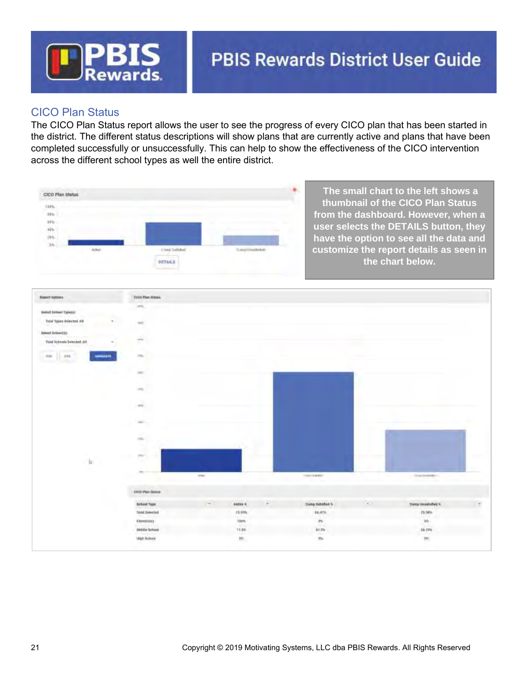

#### <span id="page-20-0"></span>CICO Plan Status

The CICO Plan Status report allows the user to see the progress of every CICO plan that has been started in the district. The different status descriptions will show plans that are currently active and plans that have been completed successfully or unsuccessfully. This can help to show the effectiveness of the CICO intervention across the different school types as well the entire district.



**The small chart to the left shows a thumbnail of the CICO Plan Status from the dashboard. However, when a user selects the DETAILS button, they have the option to see all the data and customize the report details as seen in the chart below.**

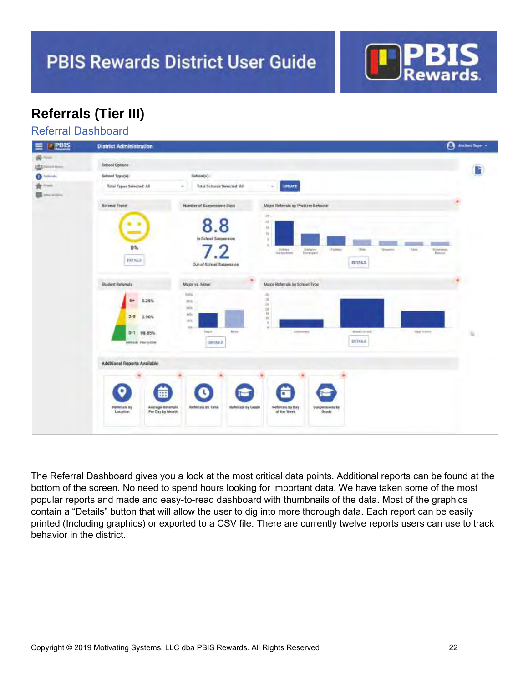

### <span id="page-21-0"></span>**Referrals (Tier III)**

### <span id="page-21-1"></span>Referral Dashboard



<span id="page-21-2"></span>The Referral Dashboard gives you a look at the most critical data points. Additional reports can be found at the bottom of the screen. No need to spend hours looking for important data. We have taken some of the most popular reports and made and easy-to-read dashboard with thumbnails of the data. Most of the graphics contain a "Details" button that will allow the user to dig into more thorough data. Each report can be easily printed (Including graphics) or exported to a CSV file. There are currently twelve reports users can use to track behavior in the district.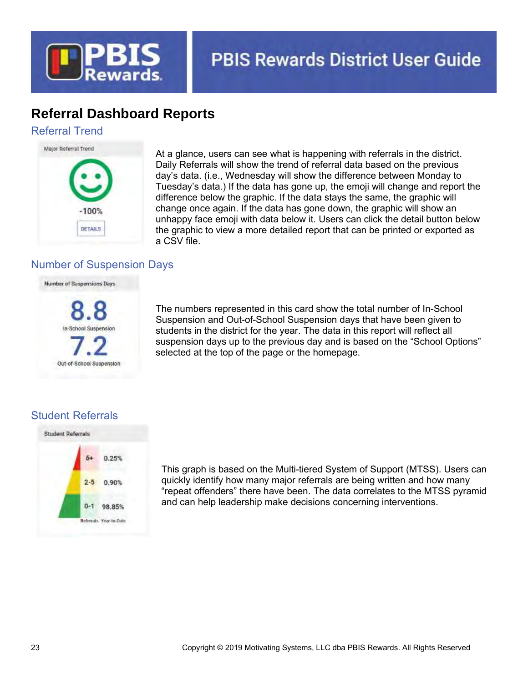

### <span id="page-22-0"></span>**Referral Dashboard Reports**

<span id="page-22-1"></span>Referral Trend



At a glance, users can see what is happening with referrals in the district. Daily Referrals will show the trend of referral data based on the previous day's data. (i.e., Wednesday will show the difference between Monday to Tuesday's data.) If the data has gone up, the emoji will change and report the difference below the graphic. If the data stays the same, the graphic will change once again. If the data has gone down, the graphic will show an unhappy face emoji with data below it. Users can click the detail button below the graphic to view a more detailed report that can be printed or exported as a CSV file.

### <span id="page-22-2"></span>Number of Suspension Days



The numbers represented in this card show the total number of In-School Suspension and Out-of-School Suspension days that have been given to students in the district for the year. The data in this report will reflect all suspension days up to the previous day and is based on the "School Options" selected at the top of the page or the homepage.

### <span id="page-22-3"></span>Student Referrals



This graph is based on the Multi-tiered System of Support (MTSS). Users can quickly identify how many major referrals are being written and how many "repeat offenders" there have been. The data correlates to the MTSS pyramid and can help leadership make decisions concerning interventions.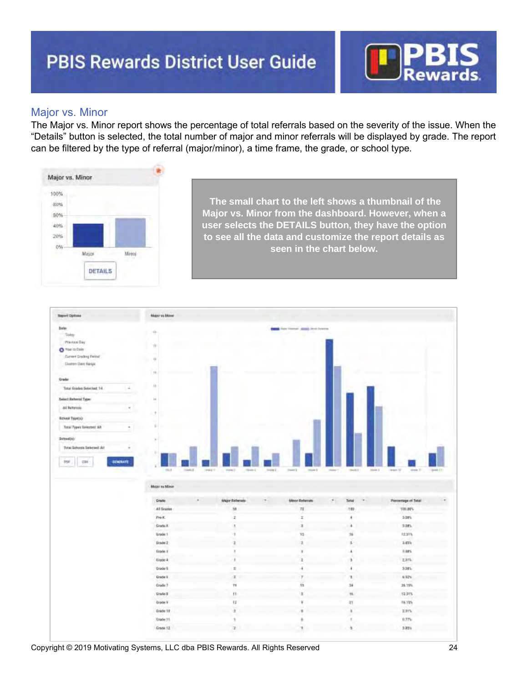

#### <span id="page-23-0"></span>Major vs. Minor

The Major vs. Minor report shows the percentage of total referrals based on the severity of the issue. When the "Details" button is selected, the total number of major and minor referrals will be displayed by grade. The report can be filtered by the type of referral (major/minor), a time frame, the grade, or school type.



**The small chart to the left shows a thumbnail of the Major vs. Minor from the dashboard. However, when a user selects the DETAILS button, they have the option to see all the data and customize the report details as seen in the chart below.**

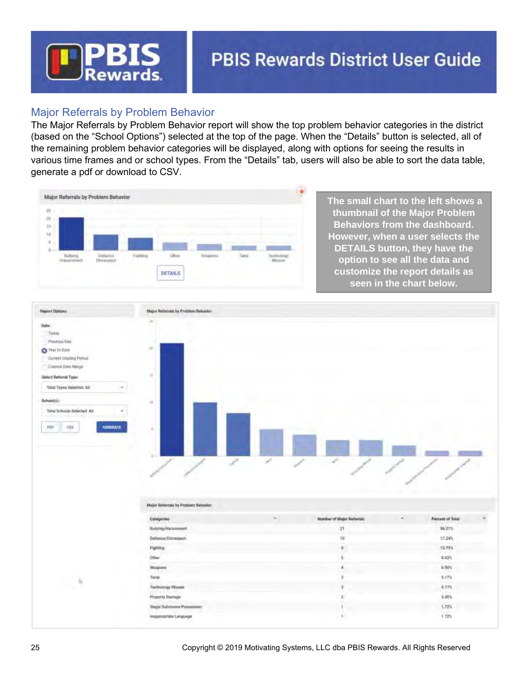

#### <span id="page-24-0"></span>Major Referrals by Problem Behavior

The Major Referrals by Problem Behavior report will show the top problem behavior categories in the district (based on the "School Options") selected at the top of the page. When the "Details" button is selected, all of the remaining problem behavior categories will be displayed, along with options for seeing the results in various time frames and or school types. From the "Details" tab, users will also be able to sort the data table, generate a pdf or download to CSV.



**The small chart to the left shows a thumbnail of the Major Problem Behaviors from the dashboard. However, when a user selects the DETAILS button, they have the option to see all the data and customize the report details as seen in the chart below.**

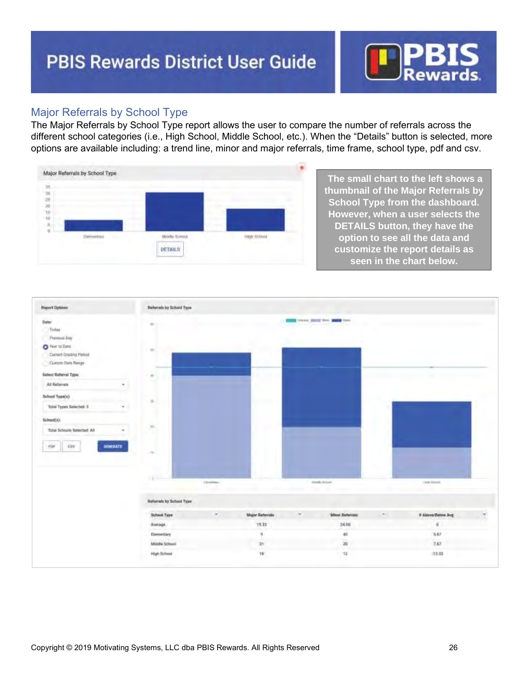

#### <span id="page-25-0"></span>Major Referrals by School Type

The Major Referrals by School Type report allows the user to compare the number of referrals across the different school categories (i.e., High School, Middle School, etc.). When the "Details" button is selected, more options are available including: a trend line, minor and major referrals, time frame, school type, pdf and csv.



**The small chart to the left shows a thumbnail of the Major Referrals by School Type from the dashboard. However, when a user selects the DETAILS button, they have the option to see all the data and customize the report details as seen in the chart below.**

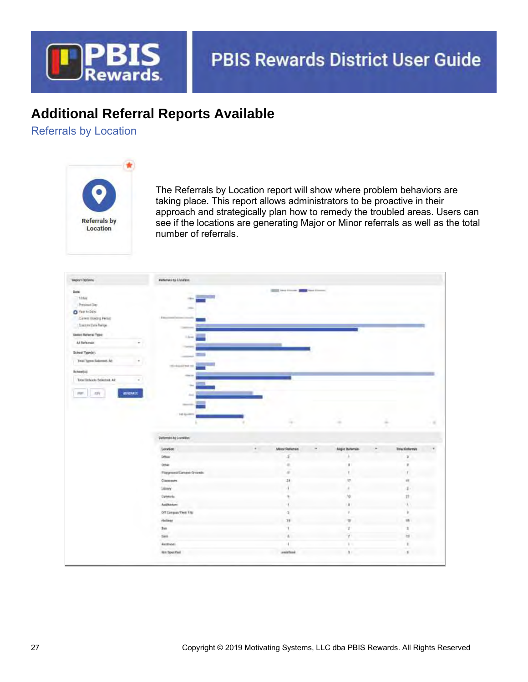

### <span id="page-26-0"></span>**Additional Referral Reports Available**

<span id="page-26-1"></span>Referrals by Location



The Referrals by Location report will show where problem behaviors are taking place. This report allows administrators to be proactive in their approach and strategically plan how to remedy the troubled areas. Users can see if the locations are generating Major or Minor referrals as well as the total number of referrals.

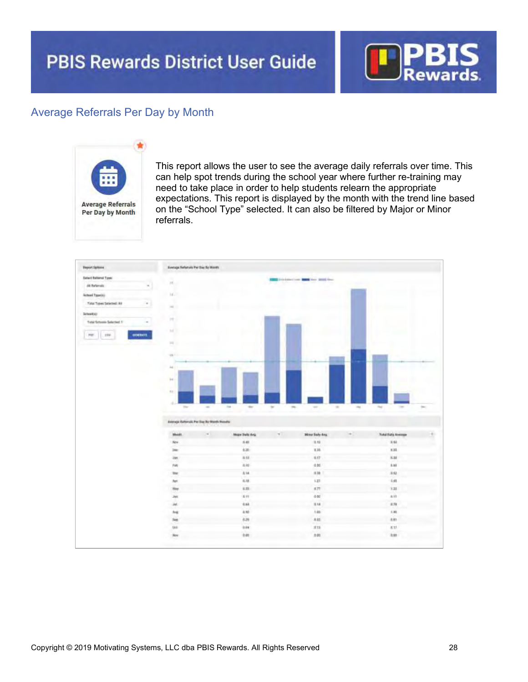

#### <span id="page-27-0"></span>Average Referrals Per Day by Month



This report allows the user to see the average daily referrals over time. This can help spot trends during the school year where further re-training may need to take place in order to help students relearn the appropriate expectations. This report is displayed by the month with the trend line based on the "School Type" selected. It can also be filtered by Major or Minor referrals.

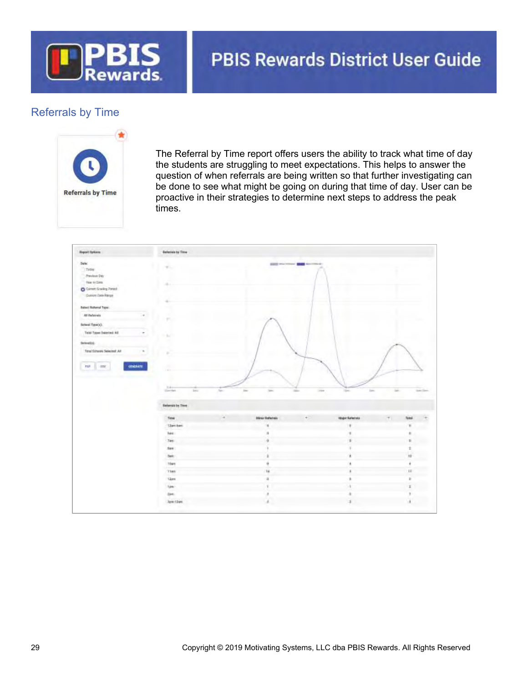

### <span id="page-28-0"></span>Referrals by Time



The Referral by Time report offers users the ability to track what time of day the students are struggling to meet expectations. This helps to answer the question of when referrals are being written so that further investigating can be done to see what might be going on during that time of day. User can be proactive in their strategies to determine next steps to address the peak times.

| <b>Hoport Ophiote</b>                                                                          | <b>Enforces by Time</b>                              |                  |                                  |                                   |                  |                                                                                                                                                                                                                                                                                                                                                                                              |              |
|------------------------------------------------------------------------------------------------|------------------------------------------------------|------------------|----------------------------------|-----------------------------------|------------------|----------------------------------------------------------------------------------------------------------------------------------------------------------------------------------------------------------------------------------------------------------------------------------------------------------------------------------------------------------------------------------------------|--------------|
| Dete:<br>Types<br>Prevision Day<br>Year to Give<br>C Commit Grading Panel<br>Current basilings | $H =$<br>49                                          |                  |                                  | <b>SEE PAYMENT BAR AUTOMATION</b> |                  |                                                                                                                                                                                                                                                                                                                                                                                              |              |
| <b>Bated Befored Trees</b>                                                                     | ÷                                                    |                  |                                  |                                   |                  |                                                                                                                                                                                                                                                                                                                                                                                              |              |
| All Esterate                                                                                   | ٠<br>P.                                              |                  |                                  |                                   |                  |                                                                                                                                                                                                                                                                                                                                                                                              |              |
| Robert Type(s).                                                                                |                                                      |                  |                                  |                                   |                  |                                                                                                                                                                                                                                                                                                                                                                                              |              |
| Tele Types Salested All                                                                        | ۰<br>$\sim$                                          |                  |                                  |                                   |                  |                                                                                                                                                                                                                                                                                                                                                                                              |              |
| <b>breezht</b>                                                                                 |                                                      |                  |                                  |                                   |                  |                                                                                                                                                                                                                                                                                                                                                                                              |              |
| Teral Schuste Selected: All                                                                    | ٠<br>۰                                               |                  |                                  |                                   |                  |                                                                                                                                                                                                                                                                                                                                                                                              |              |
|                                                                                                |                                                      |                  |                                  |                                   |                  |                                                                                                                                                                                                                                                                                                                                                                                              |              |
| onesare.<br>on.                                                                                | $\mathbb{R}^n$                                       |                  |                                  |                                   |                  |                                                                                                                                                                                                                                                                                                                                                                                              |              |
|                                                                                                | h à-<br>inc.<br>View Hart<br><b>February by Time</b> | $\sim$<br>$\sim$ | in.                              | inter.<br>m                       | $10-$<br>16m     | $\frac{1}{2} \frac{1}{2} \frac{1}{2} \frac{1}{2} \frac{1}{2} \frac{1}{2} \frac{1}{2} \frac{1}{2} \frac{1}{2} \frac{1}{2} \frac{1}{2} \frac{1}{2} \frac{1}{2} \frac{1}{2} \frac{1}{2} \frac{1}{2} \frac{1}{2} \frac{1}{2} \frac{1}{2} \frac{1}{2} \frac{1}{2} \frac{1}{2} \frac{1}{2} \frac{1}{2} \frac{1}{2} \frac{1}{2} \frac{1}{2} \frac{1}{2} \frac{1}{2} \frac{1}{2} \frac{1}{2} \frac{$ |              |
|                                                                                                | <b>Time</b>                                          | $\sim$           | <b><i>Electri Ballecrata</i></b> | $\pm$                             | <b>Highlight</b> | $\tau$ .                                                                                                                                                                                                                                                                                                                                                                                     | <b>Tetal</b> |
|                                                                                                | Tamber.                                              |                  | u                                |                                   |                  |                                                                                                                                                                                                                                                                                                                                                                                              | ×            |
|                                                                                                | her.                                                 |                  | ×                                |                                   |                  |                                                                                                                                                                                                                                                                                                                                                                                              | ĸ            |
|                                                                                                | Tam:                                                 |                  | ä                                |                                   | ×.               |                                                                                                                                                                                                                                                                                                                                                                                              | ×            |
|                                                                                                | See:                                                 |                  |                                  |                                   |                  |                                                                                                                                                                                                                                                                                                                                                                                              | t            |
|                                                                                                | fair.                                                |                  |                                  |                                   |                  |                                                                                                                                                                                                                                                                                                                                                                                              | $_{\rm 10}$  |
|                                                                                                | <b>Ties</b>                                          |                  | ü                                |                                   |                  |                                                                                                                                                                                                                                                                                                                                                                                              | ٠            |
|                                                                                                | Timi                                                 |                  | 1a                               |                                   |                  |                                                                                                                                                                                                                                                                                                                                                                                              | 18           |
|                                                                                                | 13am                                                 |                  | $\overline{\mathbf{a}}$          |                                   |                  |                                                                                                                                                                                                                                                                                                                                                                                              | ä.           |
|                                                                                                | Aper-                                                |                  | ï                                |                                   |                  |                                                                                                                                                                                                                                                                                                                                                                                              | x            |
| <b>FAN</b>                                                                                     | Dec.                                                 |                  | $\mathbf{r}$                     |                                   |                  |                                                                                                                                                                                                                                                                                                                                                                                              | Send Sen     |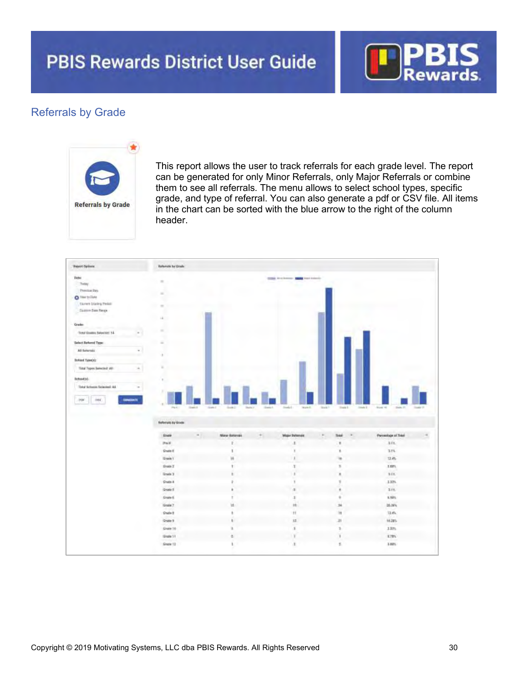

#### <span id="page-29-0"></span>Referrals by Grade



This report allows the user to track referrals for each grade level. The report can be generated for only Minor Referrals, only Major Referrals or combine them to see all referrals. The menu allows to select school types, specific grade, and type of referral. You can also generate a pdf or CSV file. All items in the chart can be sorted with the blue arrow to the right of the column header.

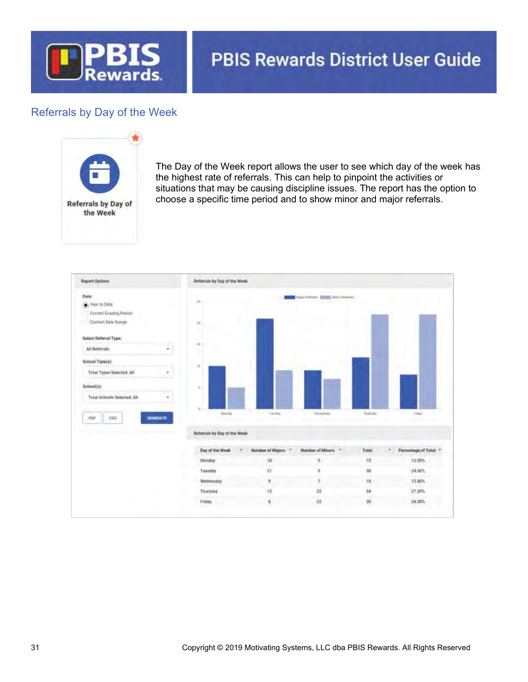

### <span id="page-30-0"></span>Referrals by Day of the Week



The Day of the Week report allows the user to see which day of the week has the highest rate of referrals. This can help to pinpoint the activities or situations that may be causing discipline issues. The report has the option to choose a specific time period and to show minor and major referrals.

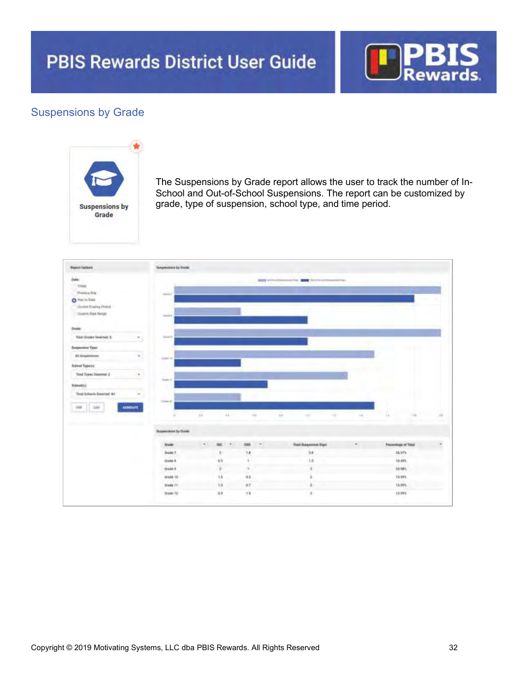

### <span id="page-31-0"></span>Suspensions by Grade



The Suspensions by Grade report allows the user to track the number of In-School and Out-of-School Suspensions. The report can be customized by grade, type of suspension, school type, and time period.

<span id="page-31-1"></span>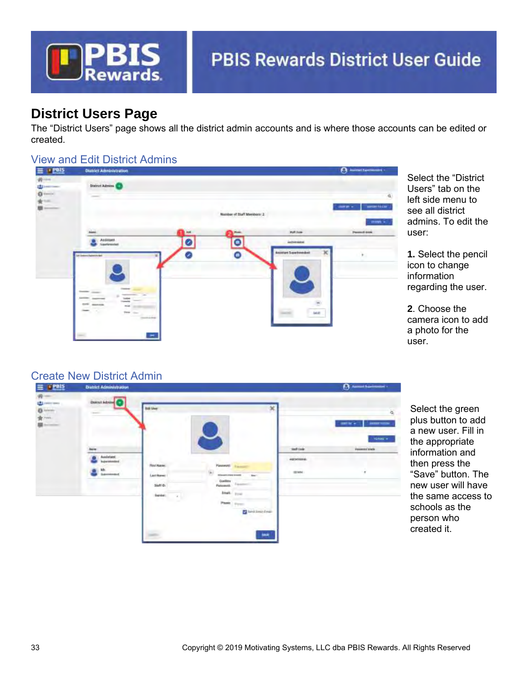

### <span id="page-32-0"></span>**District Users Page**

The "District Users" page shows all the district admin accounts and is where those accounts can be edited or created.

### <span id="page-32-1"></span>View and Edit District Admins



Select the "District Users" tab on the left side menu to see all district admins. To edit the user:

**1.** Select the pencil icon to change information regarding the user.

**2**. Choose the camera icon to add a photo for the user.

#### <span id="page-32-2"></span>Create New District Admin

| <b>That?</b><br>Ξ                                                              | <b>District Administration</b>                   |                                                                                                    |                                                                                                          | <b>E.S.</b> Austral November 1         |
|--------------------------------------------------------------------------------|--------------------------------------------------|----------------------------------------------------------------------------------------------------|----------------------------------------------------------------------------------------------------------|----------------------------------------|
| <b>Charles Company</b><br>$\begin{array}{c}\n0 \\ \ast \\ \hline\n\end{array}$ | <b>Butret Advance</b><br>Country of              | <b>Ball User</b>                                                                                   | ×                                                                                                        | ٩                                      |
|                                                                                |                                                  |                                                                                                    |                                                                                                          | $m +$<br><b>JERSEY LINES</b><br>nima + |
|                                                                                | <b>Harmer</b>                                    |                                                                                                    | mrton                                                                                                    | <b>Passwort trade</b>                  |
|                                                                                | Auslatunt:<br><b><i><u>Authorization</u></i></b> |                                                                                                    | essenios.                                                                                                |                                        |
|                                                                                | <b><i><u>International</u></i></b>               | <b>Password</b><br><b>First Rates</b><br>(Ed)<br>Last Rumic<br>Continue<br>Staff (Br.<br>Patement. | <b>ISSN</b><br><b>Nissaning coast</b><br>Sec.<br>Taxable 2<br><b>Bisk</b> (pp)                           |                                        |
|                                                                                |                                                  | Sankers.                                                                                           | m                                                                                                        |                                        |
|                                                                                |                                                  |                                                                                                    | $\mathsf{Proof}\left[\begin{smallmatrix} 0&0\\ 0&0\end{smallmatrix}\right]$<br><b>El</b> familiano desar |                                        |
|                                                                                |                                                  |                                                                                                    | <b>BAVE</b>                                                                                              |                                        |

Select the green plus button to add a new user. Fill in the appropriate information and then press the "Save" button. The new user will have the same access to schools as the person who created it.